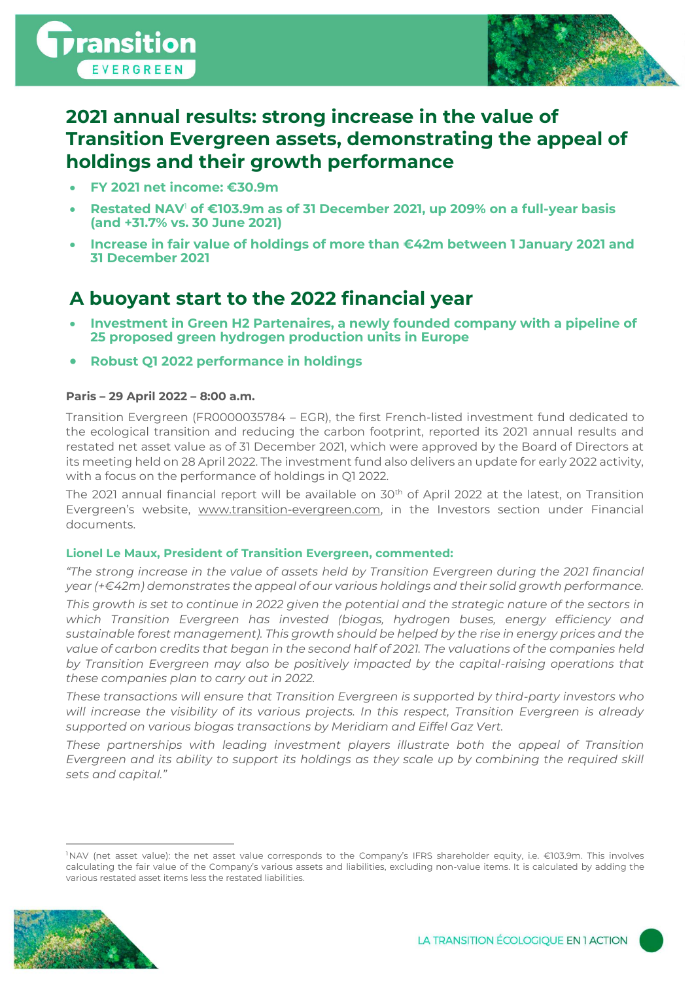

# **2021 annual results: strong increase in the value of Transition Evergreen assets, demonstrating the appeal of holdings and their growth performance**

- **FY 2021 net income: €30.9m**
- **Restated NAV**<sup>1</sup> **of €103.9m as of 31 December 2021, up 209% on a full-year basis (and +31.7% vs. 30 June 2021)**
- **Increase in fair value of holdings of more than €42m between 1 January 2021 and 31 December 2021**

# **A buoyant start to the 2022 financial year**

- **Investment in Green H2 Partenaires, a newly founded company with a pipeline of 25 proposed green hydrogen production units in Europe**
- **Robust Q1 2022 performance in holdings**

### **Paris – 29 April 2022 – 8:00 a.m.**

Transition Evergreen (FR0000035784 – EGR), the first French-listed investment fund dedicated to the ecological transition and reducing the carbon footprint, reported its 2021 annual results and restated net asset value as of 31 December 2021, which were approved by the Board of Directors at its meeting held on 28 April 2022. The investment fund also delivers an update for early 2022 activity, with a focus on the performance of holdings in Q1 2022.

The 2021 annual financial report will be available on 30<sup>th</sup> of April 2022 at the latest, on Transition Evergreen's website, [www.transition-evergreen.com,](http://www.transition-evergreen.com/) in the Investors section under Financial documents.

### **Lionel Le Maux, President of Transition Evergreen, commented:**

*"The strong increase in the value of assets held by Transition Evergreen during the 2021 financial year (+€42m) demonstrates the appeal of our various holdings and their solid growth performance.*

*This growth is set to continue in 2022 given the potential and the strategic nature of the sectors in which Transition Evergreen has invested (biogas, hydrogen buses, energy efficiency and sustainable forest management). This growth should be helped by the rise in energy prices and the value of carbon credits that began in the second half of 2021. The valuations of the companies held by Transition Evergreen may also be positively impacted by the capital-raising operations that these companies plan to carry out in 2022.*

*These transactions will ensure that Transition Evergreen is supported by third-party investors who will increase the visibility of its various projects. In this respect, Transition Evergreen is already supported on various biogas transactions by Meridiam and Eiffel Gaz Vert.*

*These partnerships with leading investment players illustrate both the appeal of Transition Evergreen and its ability to support its holdings as they scale up by combining the required skill sets and capital."*

<sup>1</sup>NAV (net asset value): the net asset value corresponds to the Company's IFRS shareholder equity, i.e. €103.9m. This involves calculating the fair value of the Company's various assets and liabilities, excluding non-value items. It is calculated by adding the various restated asset items less the restated liabilities.

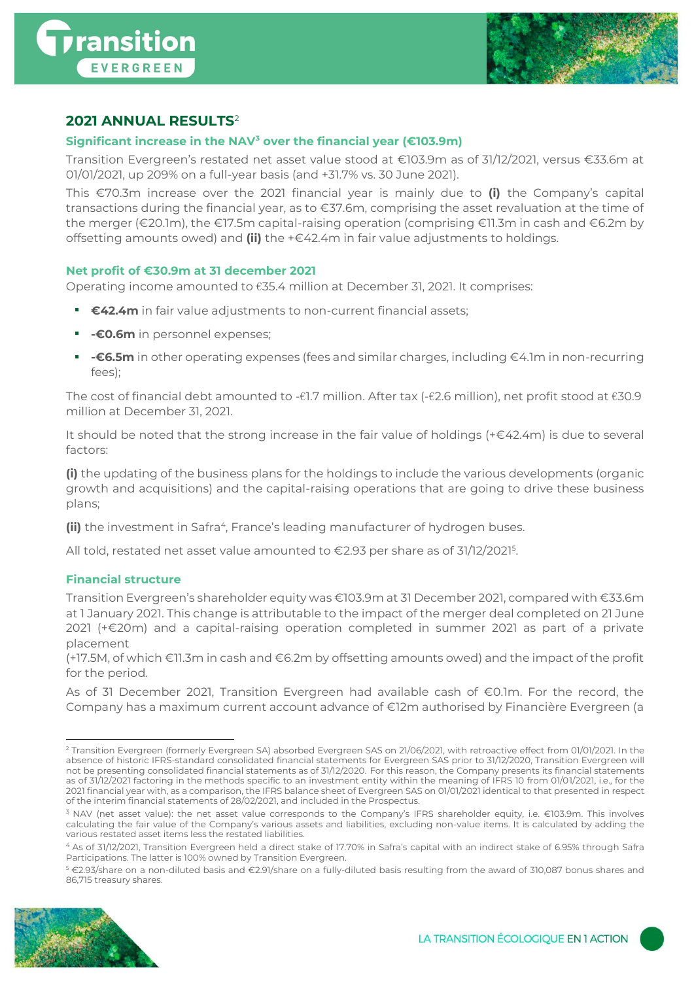



## **2021 ANNUAL RESULTS**<sup>2</sup>

### **Significant increase in the NAV<sup>3</sup> over the financial year (€103.9m)**

Transition Evergreen's restated net asset value stood at €103.9m as of 31/12/2021, versus €33.6m at 01/01/2021, up 209% on a full-year basis (and +31.7% vs. 30 June 2021).

This €70.3m increase over the 2021 financial year is mainly due to **(i)** the Company's capital transactions during the financial year, as to €37.6m, comprising the asset revaluation at the time of the merger (€20.1m), the €17.5m capital-raising operation (comprising €11.3m in cash and €6.2m by offsetting amounts owed) and **(ii)** the +€42.4m in fair value adjustments to holdings.

### **Net profit of €30.9m at 31 december 2021**

Operating income amounted to €35.4 million at December 31, 2021. It comprises:

- **€42.4m** in fair value adjustments to non-current financial assets;
- **-€0.6m** in personnel expenses;
- **-€6.5m** in other operating expenses (fees and similar charges, including €4.1m in non-recurring fees);

The cost of financial debt amounted to -€1.7 million. After tax (-€2.6 million), net profit stood at €30.9 million at December 31, 2021.

It should be noted that the strong increase in the fair value of holdings (+€42.4m) is due to several factors:

**(i)** the updating of the business plans for the holdings to include the various developments (organic growth and acquisitions) and the capital-raising operations that are going to drive these business plans;

(ii) the investment in Safra<sup>4</sup>, France's leading manufacturer of hydrogen buses.

All told, restated net asset value amounted to €2.93 per share as of 31/12/2021<sup>5</sup> .

### **Financial structure**

Transition Evergreen's shareholder equity was €103.9m at 31 December 2021, compared with €33.6m at 1 January 2021. This change is attributable to the impact of the merger deal completed on 21 June 2021 (+€20m) and a capital-raising operation completed in summer 2021 as part of a private placement

(+17.5M, of which €11.3m in cash and €6.2m by offsetting amounts owed) and the impact of the profit for the period.

As of 31 December 2021, Transition Evergreen had available cash of €0.1m. For the record, the Company has a maximum current account advance of €12m authorised by Financière Evergreen (a

<sup>5</sup> €2.93/share on a non-diluted basis and €2.91/share on a fully-diluted basis resulting from the award of 310,087 bonus shares and 86,715 treasury shares.



<sup>&</sup>lt;sup>2</sup> Transition Evergreen (formerly Evergreen SA) absorbed Evergreen SAS on 21/06/2021, with retroactive effect from 01/01/2021. In the absence of historic IFRS-standard consolidated financial statements for Evergreen SAS prior to 31/12/2020, Transition Evergreen will not be presenting consolidated financial statements as of 31/12/2020. For this reason, the Company presents its financial statements as of 31/12/2021 factoring in the methods specific to an investment entity within the meaning of IFRS 10 from 01/01/2021, i.e., for the 2021 financial year with, as a comparison, the IFRS balance sheet of Evergreen SAS on 01/01/2021 identical to that presented in respect of the interim financial statements of 28/02/2021, and included in the Prospectus.

<sup>&</sup>lt;sup>3</sup> NAV (net asset value): the net asset value corresponds to the Company's IFRS shareholder equity, i.e. €103.9m. This involves calculating the fair value of the Company's various assets and liabilities, excluding non-value items. It is calculated by adding the various restated asset items less the restated liabilities.

<sup>4</sup> As of 31/12/2021, Transition Evergreen held a direct stake of 17.70% in Safra's capital with an indirect stake of 6.95% through Safra Participations. The latter is 100% owned by Transition Evergreen.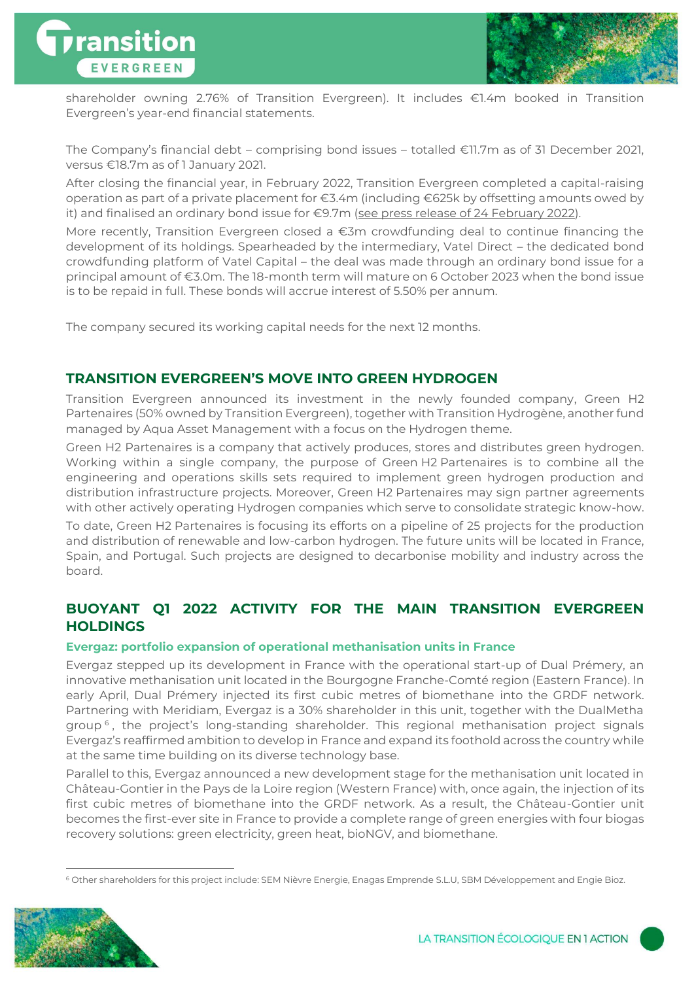



shareholder owning 2.76% of Transition Evergreen). It includes €1.4m booked in Transition Evergreen's year-end financial statements.

The Company's financial debt – comprising bond issues – totalled €11.7m as of 31 December 2021, versus €18.7m as of 1 January 2021.

After closing the financial year, in February 2022, Transition Evergreen completed a capital-raising operation as part of a private placement for €3.4m (including €625k by offsetting amounts owed by it) and finalised an ordinary bond issue for €9.7m ([see press release of 24 February 2022\)](https://www.transition-evergreen.com/s/Transition_Evergreen_CP_PP_OBLIGs_VDEF.pdf).

More recently, Transition Evergreen closed a €3m crowdfunding deal to continue financing the development of its holdings. Spearheaded by the intermediary, Vatel Direct – the dedicated bond crowdfunding platform of Vatel Capital – the deal was made through an ordinary bond issue for a principal amount of €3.0m. The 18-month term will mature on 6 October 2023 when the bond issue is to be repaid in full. These bonds will accrue interest of 5.50% per annum.

The company secured its working capital needs for the next 12 months.

### **TRANSITION EVERGREEN'S MOVE INTO GREEN HYDROGEN**

Transition Evergreen announced its investment in the newly founded company, Green H2 Partenaires (50% owned by Transition Evergreen), together with Transition Hydrogène, another fund managed by Aqua Asset Management with a focus on the Hydrogen theme.

Green H2 Partenaires is a company that actively produces, stores and distributes green hydrogen. Working within a single company, the purpose of Green H2 Partenaires is to combine all the engineering and operations skills sets required to implement green hydrogen production and distribution infrastructure projects. Moreover, Green H2 Partenaires may sign partner agreements with other actively operating Hydrogen companies which serve to consolidate strategic know-how.

To date, Green H2 Partenaires is focusing its efforts on a pipeline of 25 projects for the production and distribution of renewable and low-carbon hydrogen. The future units will be located in France, Spain, and Portugal. Such projects are designed to decarbonise mobility and industry across the board.

## **BUOYANT Q1 2022 ACTIVITY FOR THE MAIN TRANSITION EVERGREEN HOLDINGS**

### **Evergaz: portfolio expansion of operational methanisation units in France**

Evergaz stepped up its development in France with the operational start-up of Dual Prémery, an innovative methanisation unit located in the Bourgogne Franche-Comté region (Eastern France). In early April, Dual Prémery injected its first cubic metres of biomethane into the GRDF network. Partnering with Meridiam, Evergaz is a 30% shareholder in this unit, together with the DualMetha group <sup>6</sup> , the project's long-standing shareholder. This regional methanisation project signals Evergaz's reaffirmed ambition to develop in France and expand its foothold across the country while at the same time building on its diverse technology base.

Parallel to this, Evergaz announced a new development stage for the methanisation unit located in Château-Gontier in the Pays de la Loire region (Western France) with, once again, the injection of its first cubic metres of biomethane into the GRDF network. As a result, the Château-Gontier unit becomes the first-ever site in France to provide a complete range of green energies with four biogas recovery solutions: green electricity, green heat, bioNGV, and biomethane.

<sup>6</sup> Other shareholders for this project include: SEM Nièvre Energie, Enagas Emprende S.L.U, SBM Développement and Engie Bioz.

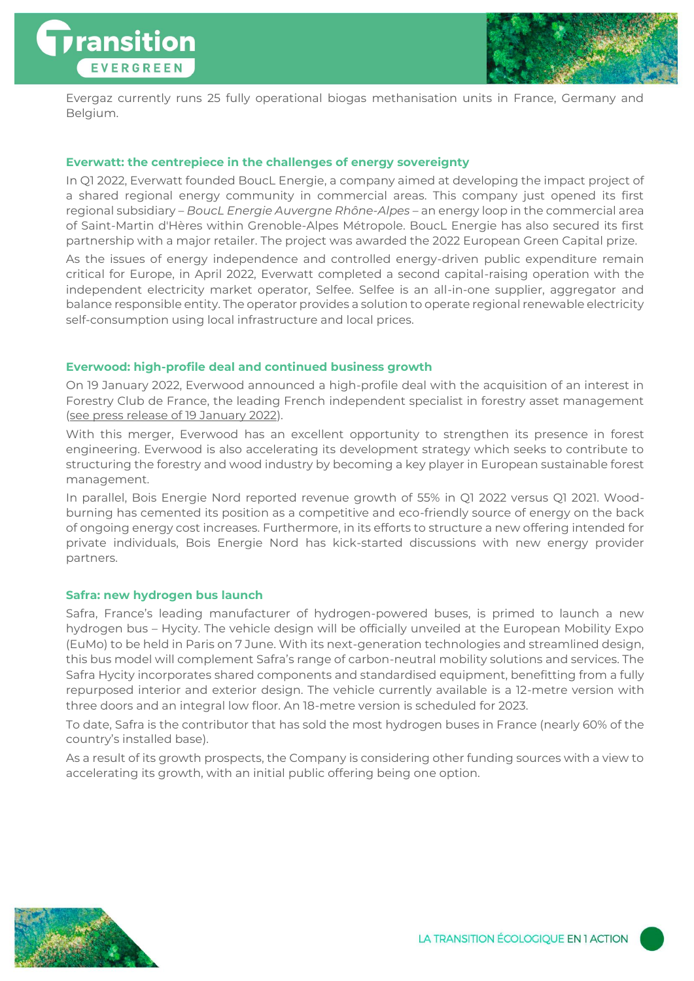



Evergaz currently runs 25 fully operational biogas methanisation units in France, Germany and Belgium.

### **Everwatt: the centrepiece in the challenges of energy sovereignty**

In Q1 2022, Everwatt founded BoucL Energie, a company aimed at developing the impact project of a shared regional energy community in commercial areas. This company just opened its first regional subsidiary – *BoucL Energie Auvergne Rhône-Alpes* – an energy loop in the commercial area of Saint-Martin d'Hères within Grenoble-Alpes Métropole. BoucL Energie has also secured its first partnership with a major retailer. The project was awarded the 2022 European Green Capital prize.

As the issues of energy independence and controlled energy-driven public expenditure remain critical for Europe, in April 2022, Everwatt completed a second capital-raising operation with the independent electricity market operator, Selfee. Selfee is an all-in-one supplier, aggregator and balance responsible entity. The operator provides a solution to operate regional renewable electricity self-consumption using local infrastructure and local prices.

### **Everwood: high-profile deal and continued business growth**

On 19 January 2022, Everwood announced a high-profile deal with the acquisition of an interest in Forestry Club de France, the leading French independent specialist in forestry asset management [\(see press release of 19 January 2022\)](https://www.transition-evergreen.com/s/Transition-Evergreen_CP_Everwood_Forestry_vdf.pdf).

With this merger, Everwood has an excellent opportunity to strengthen its presence in forest engineering. Everwood is also accelerating its development strategy which seeks to contribute to structuring the forestry and wood industry by becoming a key player in European sustainable forest management.

In parallel, Bois Energie Nord reported revenue growth of 55% in Q1 2022 versus Q1 2021. Woodburning has cemented its position as a competitive and eco-friendly source of energy on the back of ongoing energy cost increases. Furthermore, in its efforts to structure a new offering intended for private individuals, Bois Energie Nord has kick-started discussions with new energy provider partners.

### **Safra: new hydrogen bus launch**

Safra, France's leading manufacturer of hydrogen-powered buses, is primed to launch a new hydrogen bus – Hycity. The vehicle design will be officially unveiled at the European Mobility Expo (EuMo) to be held in Paris on 7 June. With its next-generation technologies and streamlined design, this bus model will complement Safra's range of carbon-neutral mobility solutions and services. The Safra Hycity incorporates shared components and standardised equipment, benefitting from a fully repurposed interior and exterior design. The vehicle currently available is a 12-metre version with three doors and an integral low floor. An 18-metre version is scheduled for 2023.

To date, Safra is the contributor that has sold the most hydrogen buses in France (nearly 60% of the country's installed base).

As a result of its growth prospects, the Company is considering other funding sources with a view to accelerating its growth, with an initial public offering being one option.



LA TRANSITION ÉCOLOGIQUE EN 1 ACTION